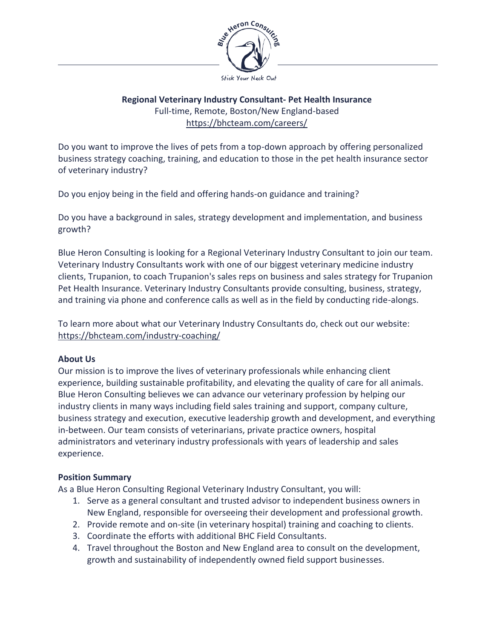

# **Regional Veterinary Industry Consultant- Pet Health Insurance** Full-time, Remote, Boston/New England-based <https://bhcteam.com/careers/>

Do you want to improve the lives of pets from a top-down approach by offering personalized business strategy coaching, training, and education to those in the pet health insurance sector of veterinary industry?

Do you enjoy being in the field and offering hands-on guidance and training?

Do you have a background in sales, strategy development and implementation, and business growth?

Blue Heron Consulting is looking for a Regional Veterinary Industry Consultant to join our team. Veterinary Industry Consultants work with one of our biggest veterinary medicine industry clients, Trupanion, to coach Trupanion's sales reps on business and sales strategy for Trupanion Pet Health Insurance. Veterinary Industry Consultants provide consulting, business, strategy, and training via phone and conference calls as well as in the field by conducting ride-alongs.

To learn more about what our Veterinary Industry Consultants do, check out our website: <https://bhcteam.com/industry-coaching/>

### **About Us**

Our mission is to improve the lives of veterinary professionals while enhancing client experience, building sustainable profitability, and elevating the quality of care for all animals. Blue Heron Consulting believes we can advance our veterinary profession by helping our industry clients in many ways including field sales training and support, company culture, business strategy and execution, executive leadership growth and development, and everything in-between. Our team consists of veterinarians, private practice owners, hospital administrators and veterinary industry professionals with years of leadership and sales experience.

# **Position Summary**

As a Blue Heron Consulting Regional Veterinary Industry Consultant, you will:

- 1. Serve as a general consultant and trusted advisor to independent business owners in New England, responsible for overseeing their development and professional growth.
- 2. Provide remote and on-site (in veterinary hospital) training and coaching to clients.
- 3. Coordinate the efforts with additional BHC Field Consultants.
- 4. Travel throughout the Boston and New England area to consult on the development, growth and sustainability of independently owned field support businesses.